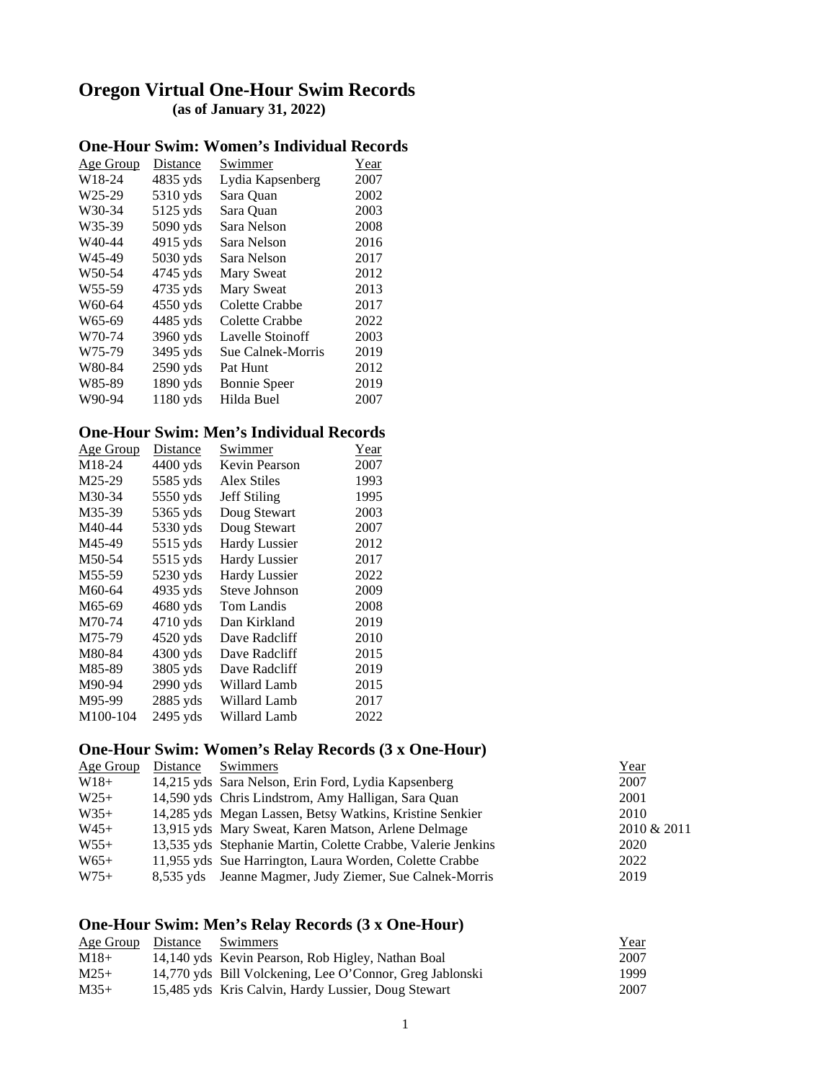# **Oregon Virtual One-Hour Swim Records (as of January 31, 2022)**

### **One-Hour Swim: Women's Individual Records**

| Age Group           | <b>Distance</b> | Swimmer             | Year |
|---------------------|-----------------|---------------------|------|
| W18-24              | 4835 yds        | Lydia Kapsenberg    | 2007 |
| W <sub>25-29</sub>  | 5310 yds        | Sara Quan           | 2002 |
| W30-34              | 5125 yds        | Sara Quan           | 2003 |
| W35-39              | 5090 yds        | Sara Nelson         | 2008 |
| W <sub>40-44</sub>  | $4915$ yds      | Sara Nelson         | 2016 |
| W <sub>45-49</sub>  | 5030 yds        | Sara Nelson         | 2017 |
| W <sub>50</sub> -54 | 4745 yds        | Mary Sweat          | 2012 |
| W <sub>55</sub> -59 | 4735 yds        | Mary Sweat          | 2013 |
| W60-64              | 4550 yds        | Colette Crabbe      | 2017 |
| W65-69              | 4485 yds        | Colette Crabbe      | 2022 |
| W70-74              | 3960 yds        | Lavelle Stoinoff    | 2003 |
| W75-79              | 3495 yds        | Sue Calnek-Morris   | 2019 |
| W80-84              | 2590 yds        | Pat Hunt            | 2012 |
| W85-89              | 1890 yds        | <b>Bonnie</b> Speer | 2019 |
| W90-94              | $1180$ yds      | Hilda Buel          | 2007 |

#### **One-Hour Swim: Men's Individual Records**

| <u>Age Group</u>    | Distance   | Swimmer              | Year |
|---------------------|------------|----------------------|------|
| M <sub>1</sub> 8-24 | $4400$ yds | Kevin Pearson        | 2007 |
| M25-29              | 5585 yds   | Alex Stiles          | 1993 |
| M30-34              | 5550 yds   | <b>Jeff Stiling</b>  | 1995 |
| M35-39              | 5365 yds   | Doug Stewart         | 2003 |
| M40-44              | 5330 yds   | Doug Stewart         | 2007 |
| M45-49              | $5515$ yds | <b>Hardy Lussier</b> | 2012 |
| M50-54              | 5515 yds   | <b>Hardy Lussier</b> | 2017 |
| M55-59              | 5230 yds   | <b>Hardy Lussier</b> | 2022 |
| M60-64              | 4935 yds   | Steve Johnson        | 2009 |
| M65-69              | 4680 yds   | Tom Landis           | 2008 |
| M70-74              | 4710 yds   | Dan Kirkland         | 2019 |
| M75-79              | 4520 yds   | Dave Radcliff        | 2010 |
| M80-84              | $4300$ yds | Dave Radcliff        | 2015 |
| M85-89              | 3805 yds   | Dave Radcliff        | 2019 |
| M90-94              | 2990 yds   | Willard Lamb         | 2015 |
| M95-99              | $2885$ yds | Willard Lamb         | 2017 |
| M100-104            | 2495 yds   | Willard Lamb         | 2022 |

#### **One-Hour Swim: Women's Relay Records (3 x One-Hour)**

| 2010 & 2011 |
|-------------|
|             |
|             |
|             |
| 2022        |

## **One-Hour Swim: Men's Relay Records (3 x One-Hour)**

| Age Group Distance | Swimmers                                                 | <u>Year</u> |
|--------------------|----------------------------------------------------------|-------------|
| $M18+$             | 14,140 yds Kevin Pearson, Rob Higley, Nathan Boal        | 2007        |
| $M25+$             | 14,770 yds Bill Volckening, Lee O'Connor, Greg Jablonski | 1999        |
| $M35+$             | 15,485 yds Kris Calvin, Hardy Lussier, Doug Stewart      | 2007        |